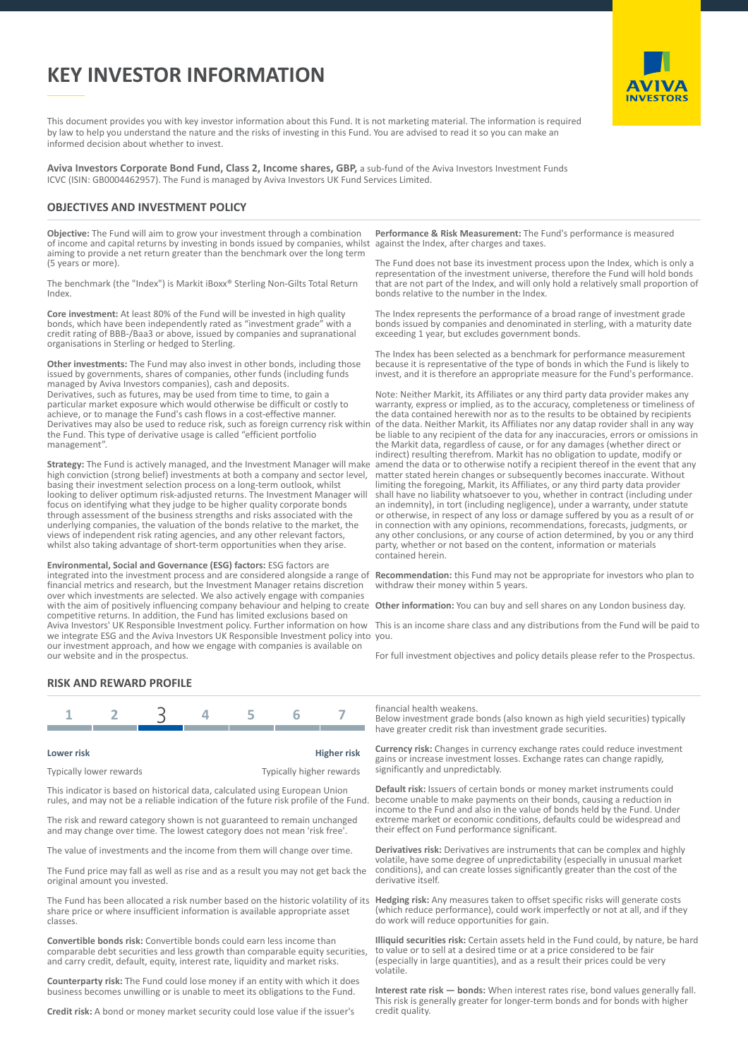# **KEY INVESTOR INFORMATION**



This document provides you with key investor information about this Fund. It is not marketing material. The information is required by law to help you understand the nature and the risks of investing in this Fund. You are advised to read it so you can make an informed decision about whether to invest.

**Aviva Investors Corporate Bond Fund, Class 2, Income shares, GBP,** a sub-fund of the Aviva Investors Investment Funds ICVC (ISIN: GB0004462957). The Fund is managed by Aviva Investors UK Fund Services Limited.

#### **OBJECTIVES AND INVESTMENT POLICY**

**Objective:** The Fund will aim to grow your investment through a combination of income and capital returns by investing in bonds issued by companies, whilst aiming to provide a net return greater than the benchmark over the long term (5 years or more).

The benchmark (the "Index") is Markit iBoxx® Sterling Non-Gilts Total Return Index.

**Core investment:** At least 80% of the Fund will be invested in high quality bonds, which have been independently rated as "investment grade" with a credit rating of BBB-/Baa3 or above, issued by companies and supranational organisations in Sterling or hedged to Sterling.

**Other investments:** The Fund may also invest in other bonds, including those issued by governments, shares of companies, other funds (including funds managed by Aviva Investors companies), cash and deposits. Derivatives, such as futures, may be used from time to time, to gain a particular market exposure which would otherwise be difficult or costly to achieve, or to manage the Fund's cash flows in a cost-effective manner. Derivatives may also be used to reduce risk, such as foreign currency risk within the Fund. This type of derivative usage is called "efficient portfolio management".

**Strategy:** The Fund is actively managed, and the Investment Manager will make high conviction (strong belief) investments at both a company and sector level, basing their investment selection process on a long-term outlook, whilst looking to deliver optimum risk-adjusted returns. The Investment Manager will focus on identifying what they judge to be higher quality corporate bonds through assessment of the business strengths and risks associated with the underlying companies, the valuation of the bonds relative to the market, the views of independent risk rating agencies, and any other relevant factors, whilst also taking advantage of short-term opportunities when they arise.

**Environmental, Social and Governance (ESG) factors:** ESG factors are integrated into the investment process and are considered alongside a range of financial metrics and research, but the Investment Manager retains discretion over which investments are selected. We also actively engage with companies with the aim of positively influencing company behaviour and helping to create competitive returns. In addition, the Fund has limited exclusions based on Aviva Investors' UK Responsible Investment policy. Further information on how we integrate ESG and the Aviva Investors UK Responsible Investment policy into you. our investment approach, and how we engage with companies is available on our website and in the prospectus.

**Performance & Risk Measurement:** The Fund's performance is measured against the Index, after charges and taxes.

The Fund does not base its investment process upon the Index, which is only a representation of the investment universe, therefore the Fund will hold bonds that are not part of the Index, and will only hold a relatively small proportion of bonds relative to the number in the Index.

The Index represents the performance of a broad range of investment grade bonds issued by companies and denominated in sterling, with a maturity date exceeding 1 year, but excludes government bonds.

The Index has been selected as a benchmark for performance measurement because it is representative of the type of bonds in which the Fund is likely to invest, and it is therefore an appropriate measure for the Fund's performance.

Note: Neither Markit, its Affiliates or any third party data provider makes any warranty, express or implied, as to the accuracy, completeness or timeliness of the data contained herewith nor as to the results to be obtained by recipients of the data. Neither Markit, its Affiliates nor any datap rovider shall in any way be liable to any recipient of the data for any inaccuracies, errors or omissions in the Markit data, regardless of cause, or for any damages (whether direct or indirect) resulting therefrom. Markit has no obligation to update, modify or amend the data or to otherwise notify a recipient thereof in the event that any matter stated herein changes or subsequently becomes inaccurate. Without limiting the foregoing, Markit, its Affiliates, or any third party data provider shall have no liability whatsoever to you, whether in contract (including under an indemnity), in tort (including negligence), under a warranty, under statute or otherwise, in respect of any loss or damage suffered by you as a result of or in connection with any opinions, recommendations, forecasts, judgments, or any other conclusions, or any course of action determined, by you or any third party, whether or not based on the content, information or materials contained herein.

**Recommendation:** this Fund may not be appropriate for investors who plan to withdraw their money within 5 years.

**Other information:** You can buy and sell shares on any London business day.

This is an income share class and any distributions from the Fund will be paid to

For full investment objectives and policy details please refer to the Prospectus.

### **RISK AND REWARD PROFILE**

| Lower risk              | <b>Higher risk</b>       |
|-------------------------|--------------------------|
| Typically lower rewards | Typically higher rewards |

This indicator is based on historical data, calculated using European Union rules, and may not be a reliable indication of the future risk profile of the Fund.

The risk and reward category shown is not guaranteed to remain unchanged and may change over time. The lowest category does not mean 'risk free'.

The value of investments and the income from them will change over time.

The Fund price may fall as well as rise and as a result you may not get back the original amount you invested.

The Fund has been allocated a risk number based on the historic volatility of its share price or where insufficient information is available appropriate asset classes.

**Convertible bonds risk:** Convertible bonds could earn less income than comparable debt securities and less growth than comparable equity securities, and carry credit, default, equity, interest rate, liquidity and market risks.

**Counterparty risk:** The Fund could lose money if an entity with which it does business becomes unwilling or is unable to meet its obligations to the Fund.

**Credit risk:** A bond or money market security could lose value if the issuer's

financial health weakens.

Below investment grade bonds (also known as high yield securities) typically have greater credit risk than investment grade securities.

**Currency risk:** Changes in currency exchange rates could reduce investment gains or increase investment losses. Exchange rates can change rapidly, significantly and unpredictably.

**Default risk:** Issuers of certain bonds or money market instruments could become unable to make payments on their bonds, causing a reduction in income to the Fund and also in the value of bonds held by the Fund. Under extreme market or economic conditions, defaults could be widespread and their effect on Fund performance significant.

**Derivatives risk:** Derivatives are instruments that can be complex and highly volatile, have some degree of unpredictability (especially in unusual market conditions), and can create losses significantly greater than the cost of the derivative itself.

**Hedging risk:** Any measures taken to offset specific risks will generate costs (which reduce performance), could work imperfectly or not at all, and if they do work will reduce opportunities for gain.

**Illiquid securities risk:** Certain assets held in the Fund could, by nature, be hard to value or to sell at a desired time or at a price considered to be fair (especially in large quantities), and as a result their prices could be very volatile.

**Interest rate risk — bonds:** When interest rates rise, bond values generally fall. This risk is generally greater for longer-term bonds and for bonds with higher credit quality.